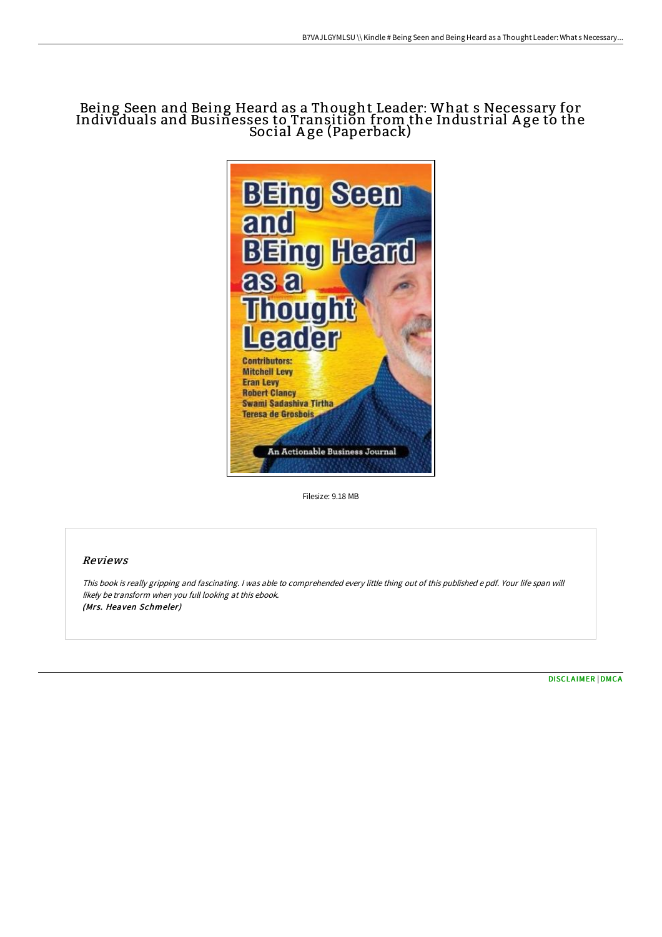## Being Seen and Being Heard as a Thought Leader: What s Necessary for Individuals and Businesses to Transition from the Industrial A ge to the Social Age (Paperback)



Filesize: 9.18 MB

## Reviews

This book is really gripping and fascinating. <sup>I</sup> was able to comprehended every little thing out of this published <sup>e</sup> pdf. Your life span will likely be transform when you full looking at this ebook. (Mrs. Heaven Schmeler)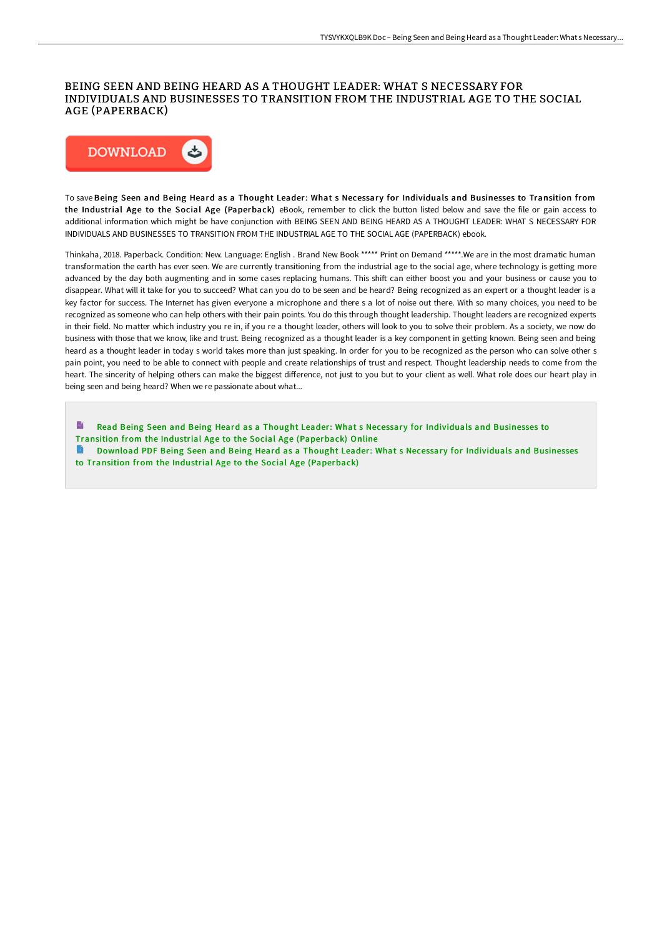## BEING SEEN AND BEING HEARD AS A THOUGHT LEADER: WHAT S NECESSARY FOR INDIVIDUALS AND BUSINESSES TO TRANSITION FROM THE INDUSTRIAL AGE TO THE SOCIAL AGE (PAPERBACK)



To save Being Seen and Being Heard as a Thought Leader: What s Necessary for Individuals and Businesses to Transition from the Industrial Age to the Social Age (Paperback) eBook, remember to click the button listed below and save the file or gain access to additional information which might be have conjunction with BEING SEEN AND BEING HEARD AS A THOUGHT LEADER: WHAT S NECESSARY FOR INDIVIDUALS AND BUSINESSES TO TRANSITION FROM THE INDUSTRIAL AGE TO THE SOCIAL AGE (PAPERBACK) ebook.

Thinkaha, 2018. Paperback. Condition: New. Language: English . Brand New Book \*\*\*\*\* Print on Demand \*\*\*\*\*.We are in the most dramatic human transformation the earth has ever seen. We are currently transitioning from the industrial age to the social age, where technology is getting more advanced by the day both augmenting and in some cases replacing humans. This shift can either boost you and your business or cause you to disappear. What will it take for you to succeed? What can you do to be seen and be heard? Being recognized as an expert or a thought leader is a key factor for success. The Internet has given everyone a microphone and there s a lot of noise out there. With so many choices, you need to be recognized as someone who can help others with their pain points. You do this through thought leadership. Thought leaders are recognized experts in their field. No matter which industry you re in, if you re a thought leader, others will look to you to solve their problem. As a society, we now do business with those that we know, like and trust. Being recognized as a thought leader is a key component in getting known. Being seen and being heard as a thought leader in today s world takes more than just speaking. In order for you to be recognized as the person who can solve other s pain point, you need to be able to connect with people and create relationships of trust and respect. Thought leadership needs to come from the heart. The sincerity of helping others can make the biggest diFerence, not just to you but to your client as well. What role does our heart play in being seen and being heard? When we re passionate about what...

 $\blacksquare$ Read Being Seen and Being Heard as a Thought Leader: What s Necessary for Individuals and Businesses to Transition from the Industrial Age to the Social Age [\(Paperback\)](http://albedo.media/being-seen-and-being-heard-as-a-thought-leader-w.html) Online Download PDF Being Seen and Being Heard as a Thought Leader: What s Necessary for Individuals and Businesses to Transition from the Industrial Age to the Social Age [\(Paperback\)](http://albedo.media/being-seen-and-being-heard-as-a-thought-leader-w.html)